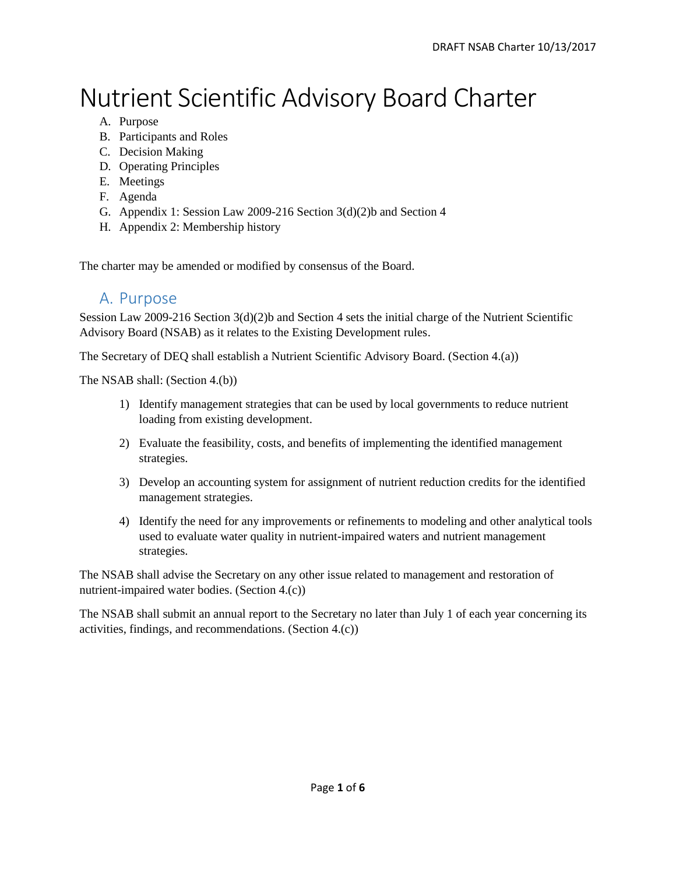# Nutrient Scientific Advisory Board Charter

- A. Purpose
- B. Participants and Roles
- C. Decision Making
- D. Operating Principles
- E. Meetings
- F. Agenda
- G. Appendix 1: Session Law 2009-216 Section 3(d)(2)b and Section 4
- H. Appendix 2: Membership history

The charter may be amended or modified by consensus of the Board.

#### A. Purpose

Session Law 2009-216 Section 3(d)(2)b and Section 4 sets the initial charge of the Nutrient Scientific Advisory Board (NSAB) as it relates to the Existing Development rules.

The Secretary of DEQ shall establish a Nutrient Scientific Advisory Board. (Section 4.(a))

The NSAB shall: (Section 4.(b))

- 1) Identify management strategies that can be used by local governments to reduce nutrient loading from existing development.
- 2) Evaluate the feasibility, costs, and benefits of implementing the identified management strategies.
- 3) Develop an accounting system for assignment of nutrient reduction credits for the identified management strategies.
- 4) Identify the need for any improvements or refinements to modeling and other analytical tools used to evaluate water quality in nutrient-impaired waters and nutrient management strategies.

The NSAB shall advise the Secretary on any other issue related to management and restoration of nutrient-impaired water bodies. (Section 4.(c))

The NSAB shall submit an annual report to the Secretary no later than July 1 of each year concerning its activities, findings, and recommendations. (Section 4.(c))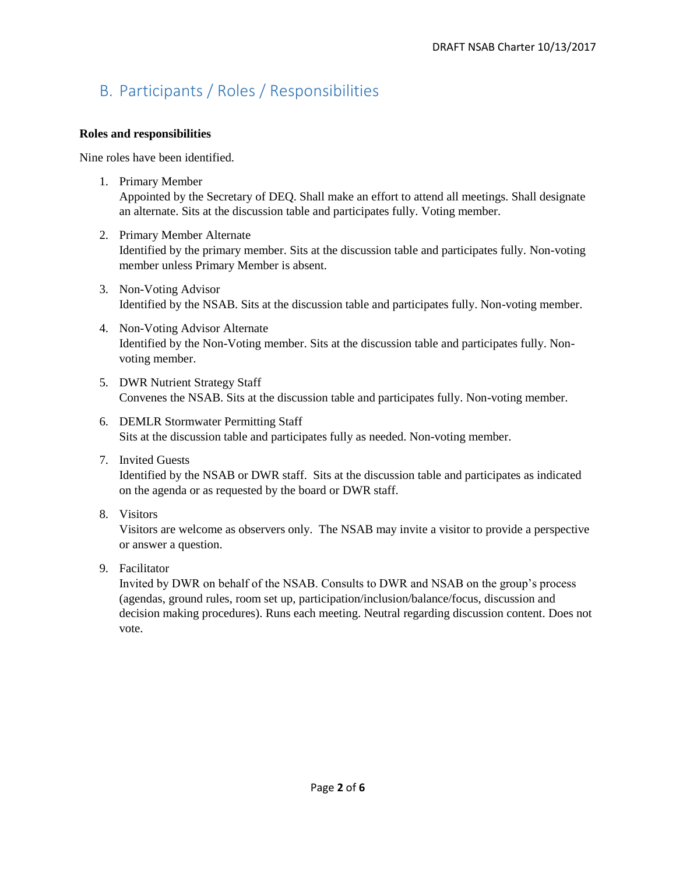# B. Participants / Roles / Responsibilities

#### **Roles and responsibilities**

Nine roles have been identified.

- 1. Primary Member Appointed by the Secretary of DEQ. Shall make an effort to attend all meetings. Shall designate an alternate. Sits at the discussion table and participates fully. Voting member.
- 2. Primary Member Alternate Identified by the primary member. Sits at the discussion table and participates fully. Non-voting member unless Primary Member is absent.
- 3. Non-Voting Advisor Identified by the NSAB. Sits at the discussion table and participates fully. Non-voting member.
- 4. Non-Voting Advisor Alternate Identified by the Non-Voting member. Sits at the discussion table and participates fully. Nonvoting member.
- 5. DWR Nutrient Strategy Staff Convenes the NSAB. Sits at the discussion table and participates fully. Non-voting member.
- 6. DEMLR Stormwater Permitting Staff Sits at the discussion table and participates fully as needed. Non-voting member.
- 7. Invited Guests Identified by the NSAB or DWR staff. Sits at the discussion table and participates as indicated on the agenda or as requested by the board or DWR staff.
- 8. Visitors

Visitors are welcome as observers only. The NSAB may invite a visitor to provide a perspective or answer a question.

9. Facilitator

Invited by DWR on behalf of the NSAB. Consults to DWR and NSAB on the group's process (agendas, ground rules, room set up, participation/inclusion/balance/focus, discussion and decision making procedures). Runs each meeting. Neutral regarding discussion content. Does not vote.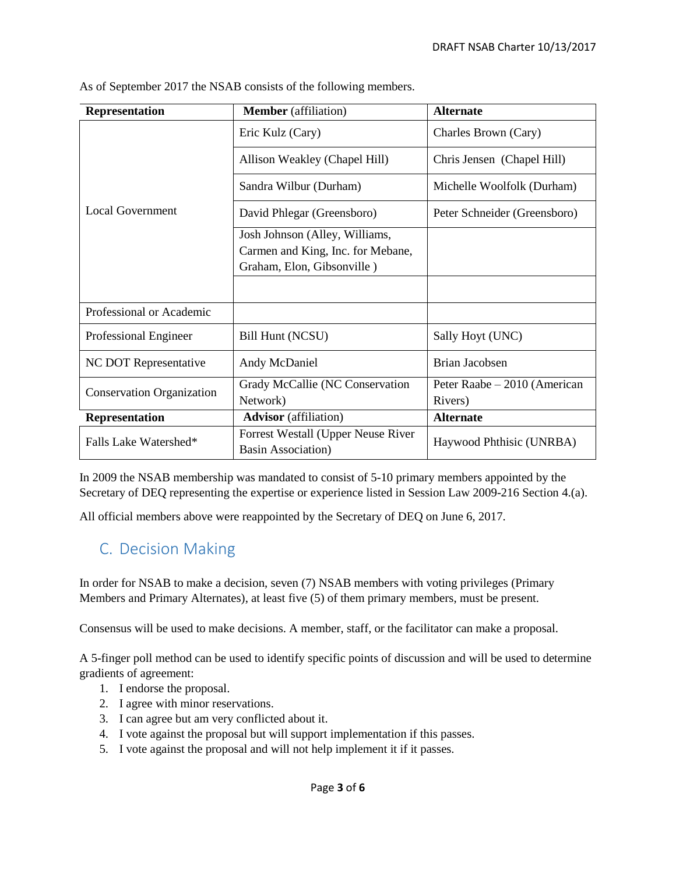| <b>Representation</b>            | <b>Member</b> (affiliation)        | <b>Alternate</b>             |
|----------------------------------|------------------------------------|------------------------------|
| <b>Local Government</b>          | Eric Kulz (Cary)                   | Charles Brown (Cary)         |
|                                  | Allison Weakley (Chapel Hill)      | Chris Jensen (Chapel Hill)   |
|                                  | Sandra Wilbur (Durham)             | Michelle Woolfolk (Durham)   |
|                                  | David Phlegar (Greensboro)         | Peter Schneider (Greensboro) |
|                                  | Josh Johnson (Alley, Williams,     |                              |
|                                  | Carmen and King, Inc. for Mebane,  |                              |
|                                  | Graham, Elon, Gibsonville)         |                              |
|                                  |                                    |                              |
| Professional or Academic         |                                    |                              |
| Professional Engineer            | Bill Hunt (NCSU)                   | Sally Hoyt (UNC)             |
| NC DOT Representative            | Andy McDaniel                      | Brian Jacobsen               |
| <b>Conservation Organization</b> | Grady McCallie (NC Conservation    | Peter Raabe – 2010 (American |
|                                  | Network)                           | Rivers)                      |
| Representation                   | <b>Advisor</b> (affiliation)       | <b>Alternate</b>             |
| Falls Lake Watershed*            | Forrest Westall (Upper Neuse River | Haywood Phthisic (UNRBA)     |
|                                  | <b>Basin Association</b> )         |                              |

As of September 2017 the NSAB consists of the following members.

In 2009 the NSAB membership was mandated to consist of 5-10 primary members appointed by the Secretary of DEQ representing the expertise or experience listed in Session Law 2009-216 Section 4.(a).

All official members above were reappointed by the Secretary of DEQ on June 6, 2017.

#### C. Decision Making

In order for NSAB to make a decision, seven (7) NSAB members with voting privileges (Primary Members and Primary Alternates), at least five (5) of them primary members, must be present.

Consensus will be used to make decisions. A member, staff, or the facilitator can make a proposal.

A 5-finger poll method can be used to identify specific points of discussion and will be used to determine gradients of agreement:

- 1. I endorse the proposal.
- 2. I agree with minor reservations.
- 3. I can agree but am very conflicted about it.
- 4. I vote against the proposal but will support implementation if this passes.
- 5. I vote against the proposal and will not help implement it if it passes.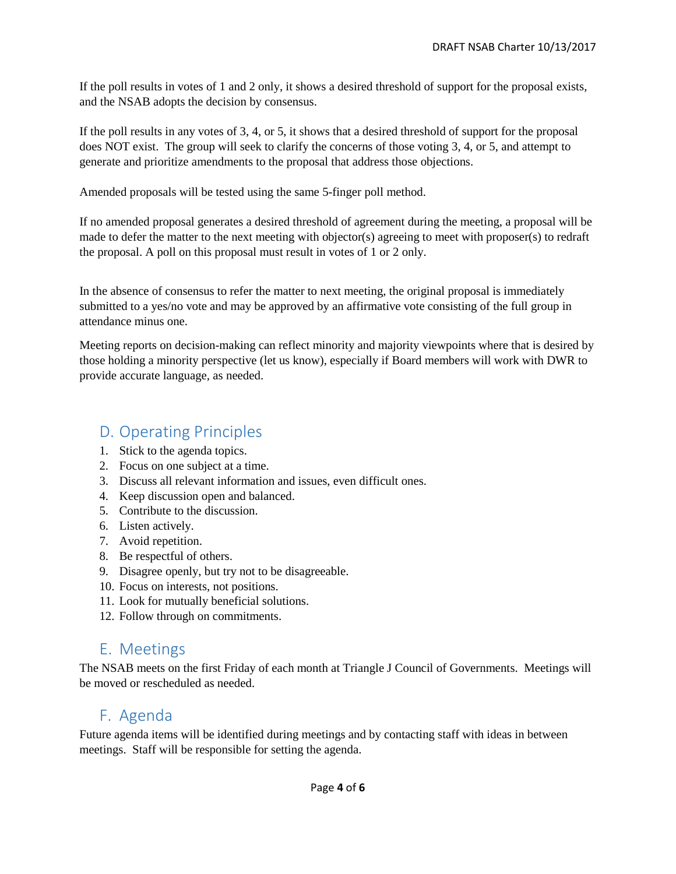If the poll results in votes of 1 and 2 only, it shows a desired threshold of support for the proposal exists, and the NSAB adopts the decision by consensus.

If the poll results in any votes of 3, 4, or 5, it shows that a desired threshold of support for the proposal does NOT exist. The group will seek to clarify the concerns of those voting 3, 4, or 5, and attempt to generate and prioritize amendments to the proposal that address those objections.

Amended proposals will be tested using the same 5-finger poll method.

If no amended proposal generates a desired threshold of agreement during the meeting, a proposal will be made to defer the matter to the next meeting with objector(s) agreeing to meet with proposer(s) to redraft the proposal. A poll on this proposal must result in votes of 1 or 2 only.

In the absence of consensus to refer the matter to next meeting, the original proposal is immediately submitted to a yes/no vote and may be approved by an affirmative vote consisting of the full group in attendance minus one.

Meeting reports on decision-making can reflect minority and majority viewpoints where that is desired by those holding a minority perspective (let us know), especially if Board members will work with DWR to provide accurate language, as needed.

## D. Operating Principles

- 1. Stick to the agenda topics.
- 2. Focus on one subject at a time.
- 3. Discuss all relevant information and issues, even difficult ones.
- 4. Keep discussion open and balanced.
- 5. Contribute to the discussion.
- 6. Listen actively.
- 7. Avoid repetition.
- 8. Be respectful of others.
- 9. Disagree openly, but try not to be disagreeable.
- 10. Focus on interests, not positions.
- 11. Look for mutually beneficial solutions.
- 12. Follow through on commitments.

### E. Meetings

The NSAB meets on the first Friday of each month at Triangle J Council of Governments. Meetings will be moved or rescheduled as needed.

## F. Agenda

Future agenda items will be identified during meetings and by contacting staff with ideas in between meetings. Staff will be responsible for setting the agenda.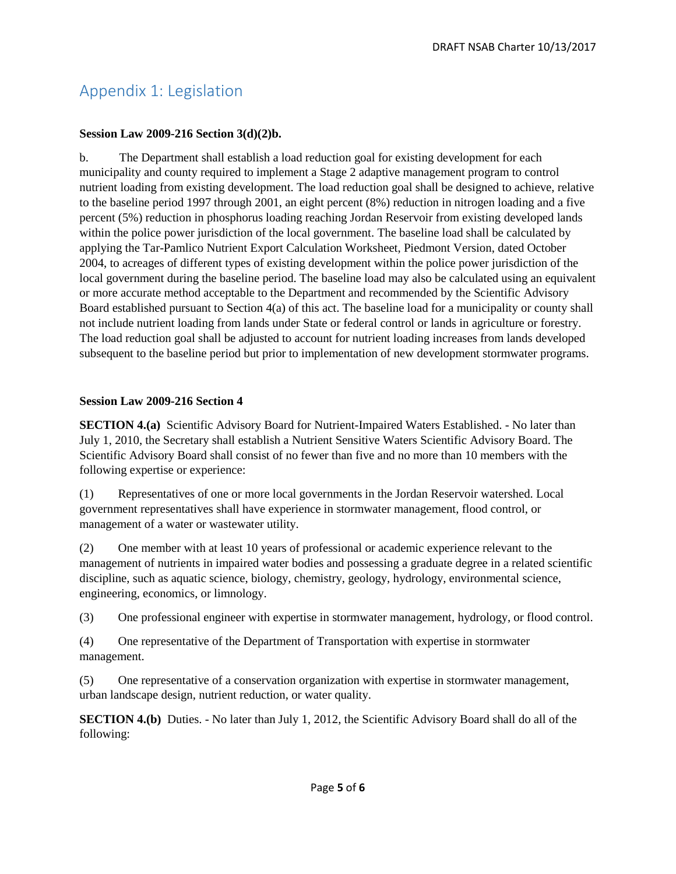# Appendix 1: Legislation

#### **Session Law 2009-216 Section 3(d)(2)b.**

b. The Department shall establish a load reduction goal for existing development for each municipality and county required to implement a Stage 2 adaptive management program to control nutrient loading from existing development. The load reduction goal shall be designed to achieve, relative to the baseline period 1997 through 2001, an eight percent (8%) reduction in nitrogen loading and a five percent (5%) reduction in phosphorus loading reaching Jordan Reservoir from existing developed lands within the police power jurisdiction of the local government. The baseline load shall be calculated by applying the Tar-Pamlico Nutrient Export Calculation Worksheet, Piedmont Version, dated October 2004, to acreages of different types of existing development within the police power jurisdiction of the local government during the baseline period. The baseline load may also be calculated using an equivalent or more accurate method acceptable to the Department and recommended by the Scientific Advisory Board established pursuant to Section 4(a) of this act. The baseline load for a municipality or county shall not include nutrient loading from lands under State or federal control or lands in agriculture or forestry. The load reduction goal shall be adjusted to account for nutrient loading increases from lands developed subsequent to the baseline period but prior to implementation of new development stormwater programs.

#### **Session Law 2009-216 Section 4**

**SECTION 4.(a)** Scientific Advisory Board for Nutrient-Impaired Waters Established. - No later than July 1, 2010, the Secretary shall establish a Nutrient Sensitive Waters Scientific Advisory Board. The Scientific Advisory Board shall consist of no fewer than five and no more than 10 members with the following expertise or experience:

(1) Representatives of one or more local governments in the Jordan Reservoir watershed. Local government representatives shall have experience in stormwater management, flood control, or management of a water or wastewater utility.

(2) One member with at least 10 years of professional or academic experience relevant to the management of nutrients in impaired water bodies and possessing a graduate degree in a related scientific discipline, such as aquatic science, biology, chemistry, geology, hydrology, environmental science, engineering, economics, or limnology.

(3) One professional engineer with expertise in stormwater management, hydrology, or flood control.

(4) One representative of the Department of Transportation with expertise in stormwater management.

(5) One representative of a conservation organization with expertise in stormwater management, urban landscape design, nutrient reduction, or water quality.

**SECTION 4.(b)** Duties. - No later than July 1, 2012, the Scientific Advisory Board shall do all of the following: